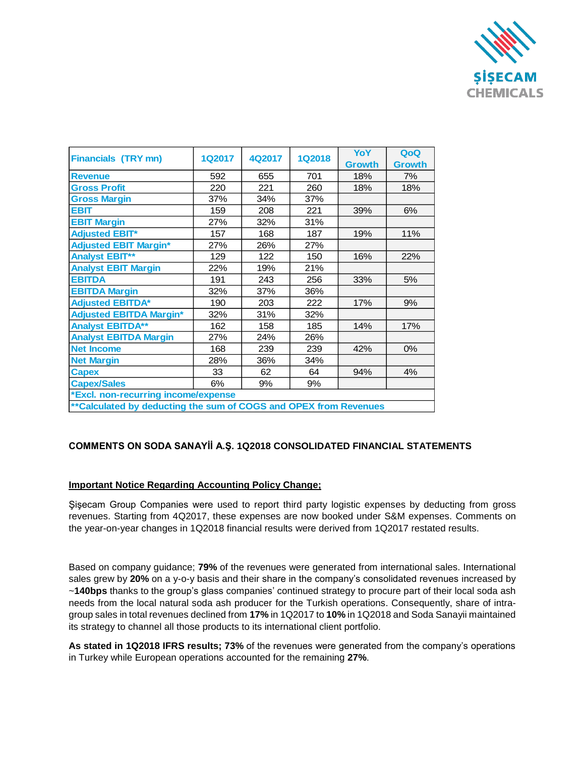

| <b>Financials (TRY mn)</b>                                        | <b>1Q2017</b> | 4Q2017 | <b>1Q2018</b> | YoY<br><b>Growth</b> | QoQ<br><b>Growth</b> |
|-------------------------------------------------------------------|---------------|--------|---------------|----------------------|----------------------|
| <b>Revenue</b>                                                    | 592           | 655    | 701           | 18%                  | 7%                   |
| <b>Gross Profit</b>                                               | 220           | 221    | 260           | 18%                  | 18%                  |
| <b>Gross Margin</b>                                               | 37%           | 34%    | 37%           |                      |                      |
| <b>EBIT</b>                                                       | 159           | 208    | 221           | 39%                  | 6%                   |
| <b>EBIT Margin</b>                                                | 27%           | 32%    | 31%           |                      |                      |
| <b>Adjusted EBIT*</b>                                             | 157           | 168    | 187           | 19%                  | 11%                  |
| <b>Adjusted EBIT Margin*</b>                                      | 27%           | 26%    | 27%           |                      |                      |
| <b>Analyst EBIT**</b>                                             | 129           | 122    | 150           | 16%                  | 22%                  |
| <b>Analyst EBIT Margin</b>                                        | 22%           | 19%    | 21%           |                      |                      |
| <b>EBITDA</b>                                                     | 191           | 243    | 256           | 33%                  | 5%                   |
| <b>EBITDA Margin</b>                                              | 32%           | 37%    | 36%           |                      |                      |
| <b>Adjusted EBITDA*</b>                                           | 190           | 203    | 222           | 17%                  | 9%                   |
| <b>Adjusted EBITDA Margin*</b>                                    | 32%           | 31%    | 32%           |                      |                      |
| <b>Analyst EBITDA**</b>                                           | 162           | 158    | 185           | 14%                  | 17%                  |
| <b>Analyst EBITDA Margin</b>                                      | 27%           | 24%    | 26%           |                      |                      |
| <b>Net Income</b>                                                 | 168           | 239    | 239           | 42%                  | 0%                   |
| <b>Net Margin</b>                                                 | 28%           | 36%    | 34%           |                      |                      |
| <b>Capex</b>                                                      | 33            | 62     | 64            | 94%                  | 4%                   |
| <b>Capex/Sales</b>                                                | 6%            | 9%     | 9%            |                      |                      |
| *Excl. non-recurring income/expense                               |               |        |               |                      |                      |
| ** Calculated by deducting the sum of COGS and OPEX from Revenues |               |        |               |                      |                      |

## **COMMENTS ON SODA SANAYİİ A.Ş. 1Q2018 CONSOLIDATED FINANCIAL STATEMENTS**

## **Important Notice Regarding Accounting Policy Change;**

Şişecam Group Companies were used to report third party logistic expenses by deducting from gross revenues. Starting from 4Q2017, these expenses are now booked under S&M expenses. Comments on the year-on-year changes in 1Q2018 financial results were derived from 1Q2017 restated results.

Based on company guidance; **79%** of the revenues were generated from international sales. International sales grew by **20%** on a y-o-y basis and their share in the company's consolidated revenues increased by ~**140bps** thanks to the group's glass companies' continued strategy to procure part of their local soda ash needs from the local natural soda ash producer for the Turkish operations. Consequently, share of intragroup sales in total revenues declined from **17%** in 1Q2017 to **10%** in 1Q2018 and Soda Sanayii maintained its strategy to channel all those products to its international client portfolio.

**As stated in 1Q2018 IFRS results; 73%** of the revenues were generated from the company's operations in Turkey while European operations accounted for the remaining **27%**.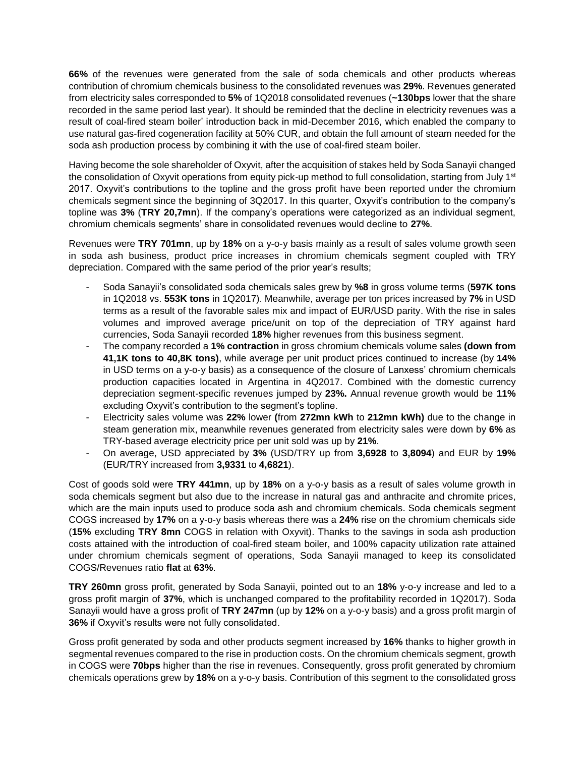**66%** of the revenues were generated from the sale of soda chemicals and other products whereas contribution of chromium chemicals business to the consolidated revenues was **29%**. Revenues generated from electricity sales corresponded to **5%** of 1Q2018 consolidated revenues (**~130bps** lower that the share recorded in the same period last year). It should be reminded that the decline in electricity revenues was a result of coal-fired steam boiler' introduction back in mid-December 2016, which enabled the company to use natural gas-fired cogeneration facility at 50% CUR, and obtain the full amount of steam needed for the soda ash production process by combining it with the use of coal-fired steam boiler.

Having become the sole shareholder of Oxyvit, after the acquisition of stakes held by Soda Sanayii changed the consolidation of Oxyvit operations from equity pick-up method to full consolidation, starting from July 1<sup>st</sup> 2017. Oxyvit's contributions to the topline and the gross profit have been reported under the chromium chemicals segment since the beginning of 3Q2017. In this quarter, Oxyvit's contribution to the company's topline was **3%** (**TRY 20,7mn**). If the company's operations were categorized as an individual segment, chromium chemicals segments' share in consolidated revenues would decline to **27%**.

Revenues were **TRY 701mn**, up by **18%** on a y-o-y basis mainly as a result of sales volume growth seen in soda ash business, product price increases in chromium chemicals segment coupled with TRY depreciation. Compared with the same period of the prior year's results;

- Soda Sanayii's consolidated soda chemicals sales grew by **%8** in gross volume terms (**597K tons** in 1Q2018 vs. **553K tons** in 1Q2017). Meanwhile, average per ton prices increased by **7%** in USD terms as a result of the favorable sales mix and impact of EUR/USD parity. With the rise in sales volumes and improved average price/unit on top of the depreciation of TRY against hard currencies, Soda Sanayii recorded **18%** higher revenues from this business segment.
- The company recorded a **1% contraction** in gross chromium chemicals volume sales **(down from 41,1K tons to 40,8K tons)**, while average per unit product prices continued to increase (by **14%** in USD terms on a y-o-y basis) as a consequence of the closure of Lanxess' chromium chemicals production capacities located in Argentina in 4Q2017. Combined with the domestic currency depreciation segment-specific revenues jumped by **23%.** Annual revenue growth would be **11%**  excluding Oxyvit's contribution to the segment's topline.
- Electricity sales volume was **22%** lower **(**from **272mn kWh** to **212mn kWh)** due to the change in steam generation mix, meanwhile revenues generated from electricity sales were down by **6%** as TRY-based average electricity price per unit sold was up by **21%**.
- On average, USD appreciated by **3%** (USD/TRY up from **3,6928** to **3,8094**) and EUR by **19%** (EUR/TRY increased from **3,9331** to **4,6821**).

Cost of goods sold were **TRY 441mn**, up by **18%** on a y-o-y basis as a result of sales volume growth in soda chemicals segment but also due to the increase in natural gas and anthracite and chromite prices, which are the main inputs used to produce soda ash and chromium chemicals. Soda chemicals segment COGS increased by **17%** on a y-o-y basis whereas there was a **24%** rise on the chromium chemicals side (**15%** excluding **TRY 8mn** COGS in relation with Oxyvit). Thanks to the savings in soda ash production costs attained with the introduction of coal-fired steam boiler, and 100% capacity utilization rate attained under chromium chemicals segment of operations, Soda Sanayii managed to keep its consolidated COGS/Revenues ratio **flat** at **63%**.

**TRY 260mn** gross profit, generated by Soda Sanayii, pointed out to an **18%** y-o-y increase and led to a gross profit margin of **37%**, which is unchanged compared to the profitability recorded in 1Q2017). Soda Sanayii would have a gross profit of **TRY 247mn** (up by **12%** on a y-o-y basis) and a gross profit margin of **36%** if Oxyvit's results were not fully consolidated.

Gross profit generated by soda and other products segment increased by **16%** thanks to higher growth in segmental revenues compared to the rise in production costs. On the chromium chemicals segment, growth in COGS were **70bps** higher than the rise in revenues. Consequently, gross profit generated by chromium chemicals operations grew by **18%** on a y-o-y basis. Contribution of this segment to the consolidated gross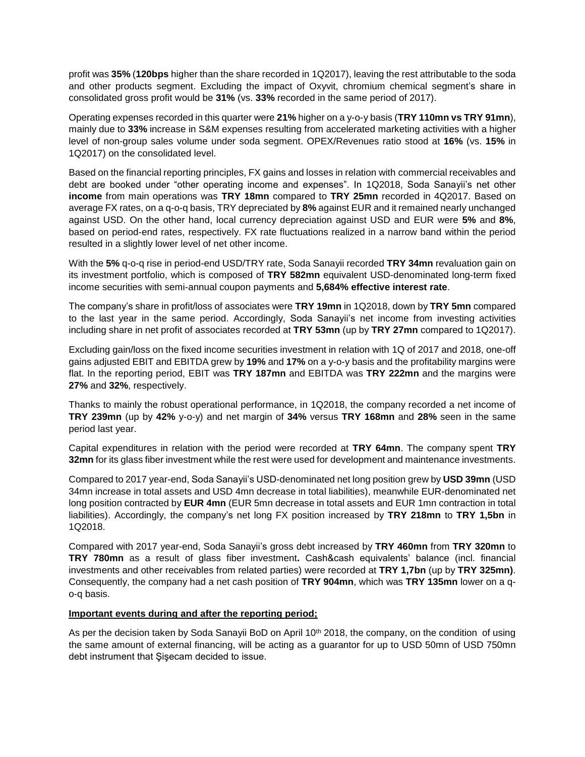profit was **35%** (**120bps** higher than the share recorded in 1Q2017), leaving the rest attributable to the soda and other products segment. Excluding the impact of Oxyvit, chromium chemical segment's share in consolidated gross profit would be **31%** (vs. **33%** recorded in the same period of 2017).

Operating expenses recorded in this quarter were **21%** higher on a y-o-y basis (**TRY 110mn vs TRY 91mn**), mainly due to **33%** increase in S&M expenses resulting from accelerated marketing activities with a higher level of non-group sales volume under soda segment. OPEX/Revenues ratio stood at **16%** (vs. **15%** in 1Q2017) on the consolidated level.

Based on the financial reporting principles, FX gains and losses in relation with commercial receivables and debt are booked under "other operating income and expenses". In 1Q2018, Soda Sanayii's net other **income** from main operations was **TRY 18mn** compared to **TRY 25mn** recorded in 4Q2017. Based on average FX rates, on a q-o-q basis, TRY depreciated by **8%** against EUR and it remained nearly unchanged against USD. On the other hand, local currency depreciation against USD and EUR were **5%** and **8%**, based on period-end rates, respectively. FX rate fluctuations realized in a narrow band within the period resulted in a slightly lower level of net other income.

With the **5%** q-o-q rise in period-end USD/TRY rate, Soda Sanayii recorded **TRY 34mn** revaluation gain on its investment portfolio, which is composed of **TRY 582mn** equivalent USD-denominated long-term fixed income securities with semi-annual coupon payments and **5,684% effective interest rate**.

The company's share in profit/loss of associates were **TRY 19mn** in 1Q2018, down by **TRY 5mn** compared to the last year in the same period. Accordingly, Soda Sanayii's net income from investing activities including share in net profit of associates recorded at **TRY 53mn** (up by **TRY 27mn** compared to 1Q2017).

Excluding gain/loss on the fixed income securities investment in relation with 1Q of 2017 and 2018, one-off gains adjusted EBIT and EBITDA grew by **19%** and **17%** on a y-o-y basis and the profitability margins were flat. In the reporting period, EBIT was **TRY 187mn** and EBITDA was **TRY 222mn** and the margins were **27%** and **32%**, respectively.

Thanks to mainly the robust operational performance, in 1Q2018, the company recorded a net income of **TRY 239mn** (up by **42%** y-o-y) and net margin of **34%** versus **TRY 168mn** and **28%** seen in the same period last year.

Capital expenditures in relation with the period were recorded at **TRY 64mn**. The company spent **TRY 32mn** for its glass fiber investment while the rest were used for development and maintenance investments.

Compared to 2017 year-end, Soda Sanayii's USD-denominated net long position grew by **USD 39mn** (USD 34mn increase in total assets and USD 4mn decrease in total liabilities), meanwhile EUR-denominated net long position contracted by **EUR 4mn** (EUR 5mn decrease in total assets and EUR 1mn contraction in total liabilities). Accordingly, the company's net long FX position increased by **TRY 218mn** to **TRY 1,5bn** in 1Q2018.

Compared with 2017 year-end, Soda Sanayii's gross debt increased by **TRY 460mn** from **TRY 320mn** to **TRY 780mn** as a result of glass fiber investment**.** Cash&cash equivalents' balance (incl. financial investments and other receivables from related parties) were recorded at **TRY 1,7bn** (up by **TRY 325mn)**. Consequently, the company had a net cash position of **TRY 904mn**, which was **TRY 135mn** lower on a qo-q basis.

## **Important events during and after the reporting period;**

As per the decision taken by Soda Sanayii BoD on April  $10<sup>th</sup>$  2018, the company, on the condition of using the same amount of external financing, will be acting as a guarantor for up to USD 50mn of USD 750mn debt instrument that Şişecam decided to issue.